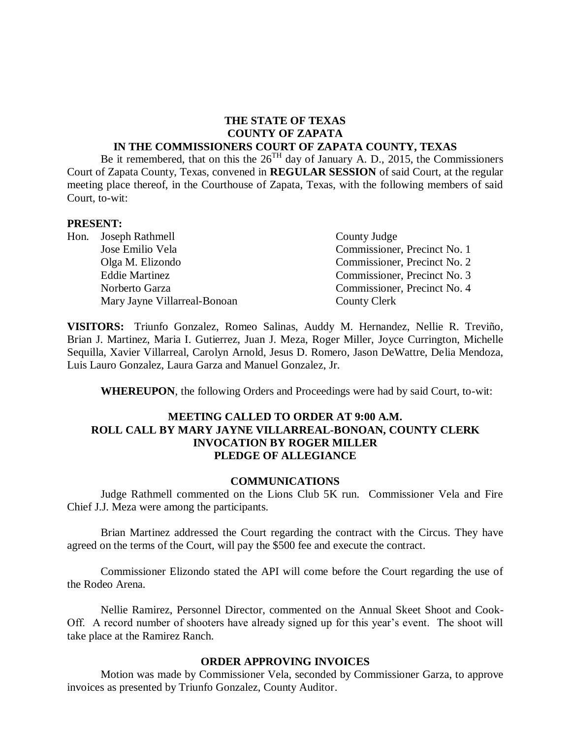#### **THE STATE OF TEXAS COUNTY OF ZAPATA IN THE COMMISSIONERS COURT OF ZAPATA COUNTY, TEXAS**

Be it remembered, that on this the  $26^{TH}$  day of January A. D., 2015, the Commissioners Court of Zapata County, Texas, convened in **REGULAR SESSION** of said Court, at the regular meeting place thereof, in the Courthouse of Zapata, Texas, with the following members of said Court, to-wit:

#### **PRESENT:**

| Hon. Joseph Rathmell         | County Judge                 |
|------------------------------|------------------------------|
| Jose Emilio Vela             | Commissioner, Precinct No. 1 |
| Olga M. Elizondo             | Commissioner, Precinct No. 2 |
| <b>Eddie Martinez</b>        | Commissioner, Precinct No. 3 |
| Norberto Garza               | Commissioner, Precinct No. 4 |
| Mary Jayne Villarreal-Bonoan | County Clerk                 |

**VISITORS:** Triunfo Gonzalez, Romeo Salinas, Auddy M. Hernandez, Nellie R. Treviño, Brian J. Martinez, Maria I. Gutierrez, Juan J. Meza, Roger Miller, Joyce Currington, Michelle Sequilla, Xavier Villarreal, Carolyn Arnold, Jesus D. Romero, Jason DeWattre, Delia Mendoza, Luis Lauro Gonzalez, Laura Garza and Manuel Gonzalez, Jr.

**WHEREUPON**, the following Orders and Proceedings were had by said Court, to-wit:

#### **MEETING CALLED TO ORDER AT 9:00 A.M. ROLL CALL BY MARY JAYNE VILLARREAL-BONOAN, COUNTY CLERK INVOCATION BY ROGER MILLER PLEDGE OF ALLEGIANCE**

#### **COMMUNICATIONS**

Judge Rathmell commented on the Lions Club 5K run. Commissioner Vela and Fire Chief J.J. Meza were among the participants.

Brian Martinez addressed the Court regarding the contract with the Circus. They have agreed on the terms of the Court, will pay the \$500 fee and execute the contract.

Commissioner Elizondo stated the API will come before the Court regarding the use of the Rodeo Arena.

Nellie Ramirez, Personnel Director, commented on the Annual Skeet Shoot and Cook-Off. A record number of shooters have already signed up for this year's event. The shoot will take place at the Ramirez Ranch.

#### **ORDER APPROVING INVOICES**

Motion was made by Commissioner Vela, seconded by Commissioner Garza, to approve invoices as presented by Triunfo Gonzalez, County Auditor.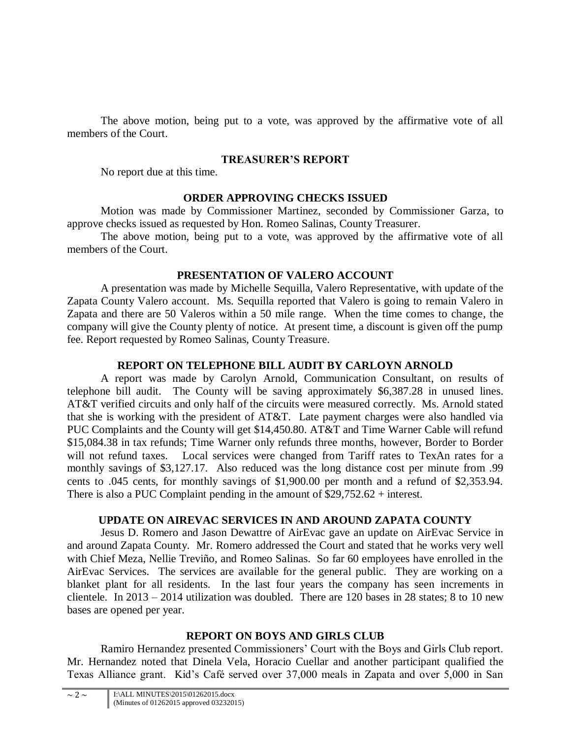The above motion, being put to a vote, was approved by the affirmative vote of all members of the Court.

# **TREASURER'S REPORT**

No report due at this time.

# **ORDER APPROVING CHECKS ISSUED**

Motion was made by Commissioner Martinez, seconded by Commissioner Garza, to approve checks issued as requested by Hon. Romeo Salinas, County Treasurer.

The above motion, being put to a vote, was approved by the affirmative vote of all members of the Court.

# **PRESENTATION OF VALERO ACCOUNT**

A presentation was made by Michelle Sequilla, Valero Representative, with update of the Zapata County Valero account. Ms. Sequilla reported that Valero is going to remain Valero in Zapata and there are 50 Valeros within a 50 mile range. When the time comes to change, the company will give the County plenty of notice. At present time, a discount is given off the pump fee. Report requested by Romeo Salinas, County Treasure.

# **REPORT ON TELEPHONE BILL AUDIT BY CARLOYN ARNOLD**

A report was made by Carolyn Arnold, Communication Consultant, on results of telephone bill audit. The County will be saving approximately \$6,387.28 in unused lines. AT&T verified circuits and only half of the circuits were measured correctly. Ms. Arnold stated that she is working with the president of AT&T. Late payment charges were also handled via PUC Complaints and the County will get \$14,450.80. AT&T and Time Warner Cable will refund \$15,084.38 in tax refunds; Time Warner only refunds three months, however, Border to Border will not refund taxes. Local services were changed from Tariff rates to TexAn rates for a monthly savings of \$3,127.17. Also reduced was the long distance cost per minute from .99 cents to .045 cents, for monthly savings of \$1,900.00 per month and a refund of \$2,353.94. There is also a PUC Complaint pending in the amount of \$29,752.62 + interest.

# **UPDATE ON AIREVAC SERVICES IN AND AROUND ZAPATA COUNTY**

Jesus D. Romero and Jason Dewattre of AirEvac gave an update on AirEvac Service in and around Zapata County. Mr. Romero addressed the Court and stated that he works very well with Chief Meza, Nellie Treviño, and Romeo Salinas. So far 60 employees have enrolled in the AirEvac Services. The services are available for the general public. They are working on a blanket plant for all residents. In the last four years the company has seen increments in clientele. In 2013 – 2014 utilization was doubled. There are 120 bases in 28 states; 8 to 10 new bases are opened per year.

# **REPORT ON BOYS AND GIRLS CLUB**

Ramiro Hernandez presented Commissioners' Court with the Boys and Girls Club report. Mr. Hernandez noted that Dinela Vela, Horacio Cuellar and another participant qualified the Texas Alliance grant. Kid's Café served over 37,000 meals in Zapata and over 5,000 in San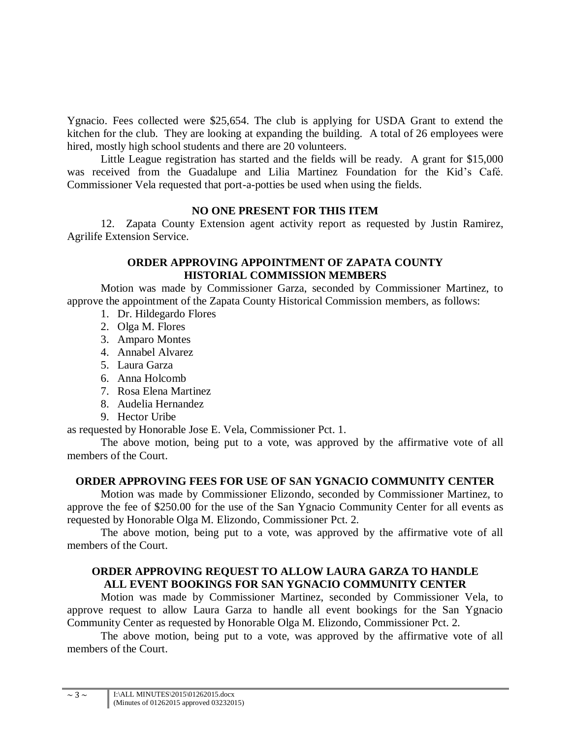Ygnacio. Fees collected were \$25,654. The club is applying for USDA Grant to extend the kitchen for the club. They are looking at expanding the building. A total of 26 employees were hired, mostly high school students and there are 20 volunteers.

Little League registration has started and the fields will be ready. A grant for \$15,000 was received from the Guadalupe and Lilia Martinez Foundation for the Kid's Café. Commissioner Vela requested that port-a-potties be used when using the fields.

#### **NO ONE PRESENT FOR THIS ITEM**

12. Zapata County Extension agent activity report as requested by Justin Ramirez, Agrilife Extension Service.

### **ORDER APPROVING APPOINTMENT OF ZAPATA COUNTY HISTORIAL COMMISSION MEMBERS**

Motion was made by Commissioner Garza, seconded by Commissioner Martinez, to approve the appointment of the Zapata County Historical Commission members, as follows:

- 1. Dr. Hildegardo Flores
- 2. Olga M. Flores
- 3. Amparo Montes
- 4. Annabel Alvarez
- 5. Laura Garza
- 6. Anna Holcomb
- 7. Rosa Elena Martinez
- 8. Audelia Hernandez
- 9. Hector Uribe

as requested by Honorable Jose E. Vela, Commissioner Pct. 1.

The above motion, being put to a vote, was approved by the affirmative vote of all members of the Court.

## **ORDER APPROVING FEES FOR USE OF SAN YGNACIO COMMUNITY CENTER**

Motion was made by Commissioner Elizondo, seconded by Commissioner Martinez, to approve the fee of \$250.00 for the use of the San Ygnacio Community Center for all events as requested by Honorable Olga M. Elizondo, Commissioner Pct. 2.

The above motion, being put to a vote, was approved by the affirmative vote of all members of the Court.

## **ORDER APPROVING REQUEST TO ALLOW LAURA GARZA TO HANDLE ALL EVENT BOOKINGS FOR SAN YGNACIO COMMUNITY CENTER**

Motion was made by Commissioner Martinez, seconded by Commissioner Vela, to approve request to allow Laura Garza to handle all event bookings for the San Ygnacio Community Center as requested by Honorable Olga M. Elizondo, Commissioner Pct. 2.

The above motion, being put to a vote, was approved by the affirmative vote of all members of the Court.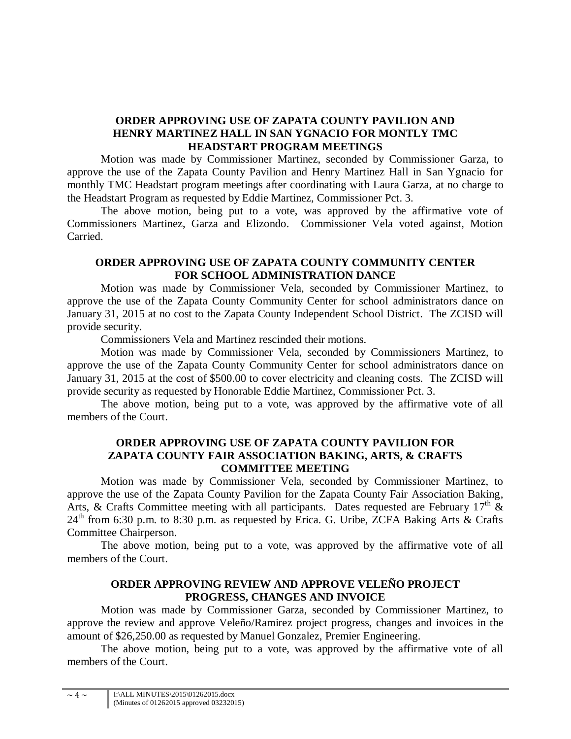## **ORDER APPROVING USE OF ZAPATA COUNTY PAVILION AND HENRY MARTINEZ HALL IN SAN YGNACIO FOR MONTLY TMC HEADSTART PROGRAM MEETINGS**

Motion was made by Commissioner Martinez, seconded by Commissioner Garza, to approve the use of the Zapata County Pavilion and Henry Martinez Hall in San Ygnacio for monthly TMC Headstart program meetings after coordinating with Laura Garza, at no charge to the Headstart Program as requested by Eddie Martinez, Commissioner Pct. 3.

The above motion, being put to a vote, was approved by the affirmative vote of Commissioners Martinez, Garza and Elizondo. Commissioner Vela voted against, Motion Carried.

### **ORDER APPROVING USE OF ZAPATA COUNTY COMMUNITY CENTER FOR SCHOOL ADMINISTRATION DANCE**

Motion was made by Commissioner Vela, seconded by Commissioner Martinez, to approve the use of the Zapata County Community Center for school administrators dance on January 31, 2015 at no cost to the Zapata County Independent School District. The ZCISD will provide security.

Commissioners Vela and Martinez rescinded their motions.

Motion was made by Commissioner Vela, seconded by Commissioners Martinez, to approve the use of the Zapata County Community Center for school administrators dance on January 31, 2015 at the cost of \$500.00 to cover electricity and cleaning costs. The ZCISD will provide security as requested by Honorable Eddie Martinez, Commissioner Pct. 3.

The above motion, being put to a vote, was approved by the affirmative vote of all members of the Court.

### **ORDER APPROVING USE OF ZAPATA COUNTY PAVILION FOR ZAPATA COUNTY FAIR ASSOCIATION BAKING, ARTS, & CRAFTS COMMITTEE MEETING**

Motion was made by Commissioner Vela, seconded by Commissioner Martinez, to approve the use of the Zapata County Pavilion for the Zapata County Fair Association Baking, Arts, & Crafts Committee meeting with all participants. Dates requested are February  $17<sup>th</sup>$  &  $24<sup>th</sup>$  from 6:30 p.m. to 8:30 p.m. as requested by Erica. G. Uribe, ZCFA Baking Arts & Crafts Committee Chairperson.

The above motion, being put to a vote, was approved by the affirmative vote of all members of the Court.

## **ORDER APPROVING REVIEW AND APPROVE VELEÑO PROJECT PROGRESS, CHANGES AND INVOICE**

Motion was made by Commissioner Garza, seconded by Commissioner Martinez, to approve the review and approve Veleño/Ramirez project progress, changes and invoices in the amount of \$26,250.00 as requested by Manuel Gonzalez, Premier Engineering.

The above motion, being put to a vote, was approved by the affirmative vote of all members of the Court.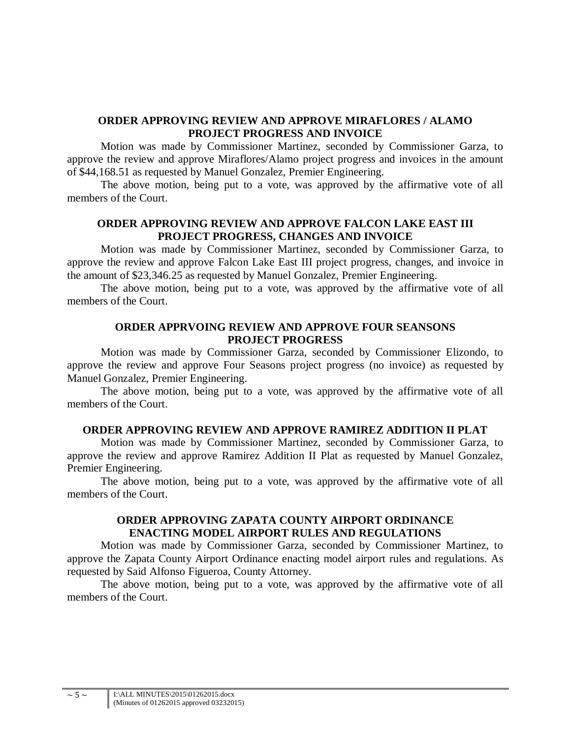### **ORDER APPROVING REVIEW AND APPROVE MIRAFLORES / ALAMO PROJECT PROGRESS AND INVOICE**

Motion was made by Commissioner Martinez, seconded by Commissioner Garza, to approve the review and approve Miraflores/Alamo project progress and invoices in the amount of \$44,168.51 as requested by Manuel Gonzalez, Premier Engineering.

The above motion, being put to a vote, was approved by the affirmative vote of all members of the Court.

### **ORDER APPROVING REVIEW AND APPROVE FALCON LAKE EAST III PROJECT PROGRESS, CHANGES AND INVOICE**

Motion was made by Commissioner Martinez, seconded by Commissioner Garza, to approve the review and approve Falcon Lake East III project progress, changes, and invoice in the amount of \$23,346.25 as requested by Manuel Gonzalez, Premier Engineering.

The above motion, being put to a vote, was approved by the affirmative vote of all members of the Court.

#### **ORDER APPRVOING REVIEW AND APPROVE FOUR SEANSONS PROJECT PROGRESS**

Motion was made by Commissioner Garza, seconded by Commissioner Elizondo, to approve the review and approve Four Seasons project progress (no invoice) as requested by Manuel Gonzalez, Premier Engineering.

The above motion, being put to a vote, was approved by the affirmative vote of all members of the Court.

#### **ORDER APPROVING REVIEW AND APPROVE RAMIREZ ADDITION II PLAT**

Motion was made by Commissioner Martinez, seconded by Commissioner Garza, to approve the review and approve Ramirez Addition II Plat as requested by Manuel Gonzalez, Premier Engineering.

The above motion, being put to a vote, was approved by the affirmative vote of all members of the Court.

## **ORDER APPROVING ZAPATA COUNTY AIRPORT ORDINANCE ENACTING MODEL AIRPORT RULES AND REGULATIONS**

Motion was made by Commissioner Garza, seconded by Commissioner Martinez, to approve the Zapata County Airport Ordinance enacting model airport rules and regulations. As requested by Said Alfonso Figueroa, County Attorney.

The above motion, being put to a vote, was approved by the affirmative vote of all members of the Court.